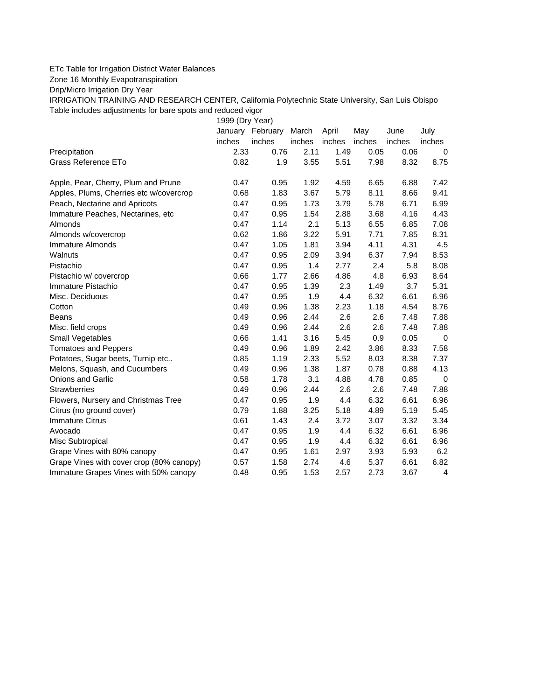## ETc Table for Irrigation District Water Balances

Zone 16 Monthly Evapotranspiration

Drip/Micro Irrigation Dry Year

IRRIGATION TRAINING AND RESEARCH CENTER, California Polytechnic State University, San Luis Obispo Table includes adjustments for bare spots and reduced vigor

1999 (Dry Year)

|                                          | January | February | March  | April  | May    | June   | July        |
|------------------------------------------|---------|----------|--------|--------|--------|--------|-------------|
|                                          | inches  | inches   | inches | inches | inches | inches | inches      |
| Precipitation                            | 2.33    | 0.76     | 2.11   | 1.49   | 0.05   | 0.06   | 0           |
| Grass Reference ETo                      | 0.82    | 1.9      | 3.55   | 5.51   | 7.98   | 8.32   | 8.75        |
| Apple, Pear, Cherry, Plum and Prune      | 0.47    | 0.95     | 1.92   | 4.59   | 6.65   | 6.88   | 7.42        |
| Apples, Plums, Cherries etc w/covercrop  | 0.68    | 1.83     | 3.67   | 5.79   | 8.11   | 8.66   | 9.41        |
| Peach, Nectarine and Apricots            | 0.47    | 0.95     | 1.73   | 3.79   | 5.78   | 6.71   | 6.99        |
| Immature Peaches, Nectarines, etc        | 0.47    | 0.95     | 1.54   | 2.88   | 3.68   | 4.16   | 4.43        |
| Almonds                                  | 0.47    | 1.14     | 2.1    | 5.13   | 6.55   | 6.85   | 7.08        |
| Almonds w/covercrop                      | 0.62    | 1.86     | 3.22   | 5.91   | 7.71   | 7.85   | 8.31        |
| Immature Almonds                         | 0.47    | 1.05     | 1.81   | 3.94   | 4.11   | 4.31   | 4.5         |
| Walnuts                                  | 0.47    | 0.95     | 2.09   | 3.94   | 6.37   | 7.94   | 8.53        |
| Pistachio                                | 0.47    | 0.95     | 1.4    | 2.77   | 2.4    | 5.8    | 8.08        |
| Pistachio w/ covercrop                   | 0.66    | 1.77     | 2.66   | 4.86   | 4.8    | 6.93   | 8.64        |
| Immature Pistachio                       | 0.47    | 0.95     | 1.39   | 2.3    | 1.49   | 3.7    | 5.31        |
| Misc. Deciduous                          | 0.47    | 0.95     | 1.9    | 4.4    | 6.32   | 6.61   | 6.96        |
| Cotton                                   | 0.49    | 0.96     | 1.38   | 2.23   | 1.18   | 4.54   | 8.76        |
| Beans                                    | 0.49    | 0.96     | 2.44   | 2.6    | 2.6    | 7.48   | 7.88        |
| Misc. field crops                        | 0.49    | 0.96     | 2.44   | 2.6    | 2.6    | 7.48   | 7.88        |
| Small Vegetables                         | 0.66    | 1.41     | 3.16   | 5.45   | 0.9    | 0.05   | 0           |
| <b>Tomatoes and Peppers</b>              | 0.49    | 0.96     | 1.89   | 2.42   | 3.86   | 8.33   | 7.58        |
| Potatoes, Sugar beets, Turnip etc        | 0.85    | 1.19     | 2.33   | 5.52   | 8.03   | 8.38   | 7.37        |
| Melons, Squash, and Cucumbers            | 0.49    | 0.96     | 1.38   | 1.87   | 0.78   | 0.88   | 4.13        |
| Onions and Garlic                        | 0.58    | 1.78     | 3.1    | 4.88   | 4.78   | 0.85   | $\mathbf 0$ |
| <b>Strawberries</b>                      | 0.49    | 0.96     | 2.44   | 2.6    | 2.6    | 7.48   | 7.88        |
| Flowers, Nursery and Christmas Tree      | 0.47    | 0.95     | 1.9    | 4.4    | 6.32   | 6.61   | 6.96        |
| Citrus (no ground cover)                 | 0.79    | 1.88     | 3.25   | 5.18   | 4.89   | 5.19   | 5.45        |
| <b>Immature Citrus</b>                   | 0.61    | 1.43     | 2.4    | 3.72   | 3.07   | 3.32   | 3.34        |
| Avocado                                  | 0.47    | 0.95     | 1.9    | 4.4    | 6.32   | 6.61   | 6.96        |
| Misc Subtropical                         | 0.47    | 0.95     | 1.9    | 4.4    | 6.32   | 6.61   | 6.96        |
| Grape Vines with 80% canopy              | 0.47    | 0.95     | 1.61   | 2.97   | 3.93   | 5.93   | 6.2         |
| Grape Vines with cover crop (80% canopy) | 0.57    | 1.58     | 2.74   | 4.6    | 5.37   | 6.61   | 6.82        |
| Immature Grapes Vines with 50% canopy    | 0.48    | 0.95     | 1.53   | 2.57   | 2.73   | 3.67   | 4           |